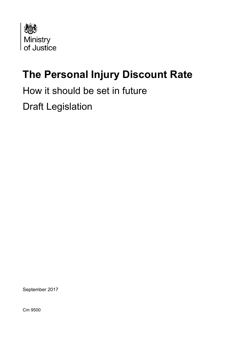

# **The Personal Injury Discount Rate**

## How it should be set in future

Draft Legislation

September 2017

Cm 9500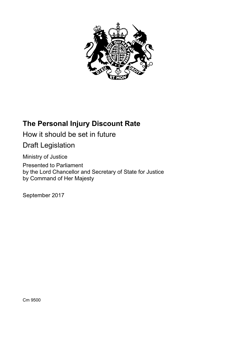

## **The Personal Injury Discount Rate**

How it should be set in future

Draft Legislation

Ministry of Justice Presented to Parliament by the Lord Chancellor and Secretary of State for Justice by Command of Her Majesty

September 2017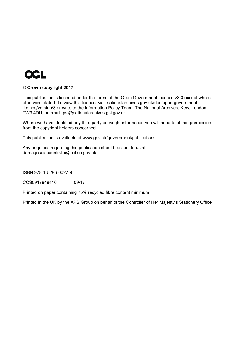

#### **© Crown copyright 2017**

This publication is licensed under the terms of the Open Government Licence v3.0 except where otherwise stated. To view this licence, visit [nationalarchives.gov.uk/doc/open-government](http://nationalarchives.gov.uk/doc/open-government-licence/version/3/)[licence/version/3](http://nationalarchives.gov.uk/doc/open-government-licence/version/3/) or write to the Information Policy Team, The National Archives, Kew, London TW9 4DU, or email: [psi@nationalarchives.gsi.gov.uk.](mailto:psi@nationalarchives.gsi.gov.uk)

Where we have identified any third party copyright information you will need to obtain permission from the copyright holders concerned.

This publication is available at [www.gov.uk/government/publications](http://www.gov.uk/government/publications)

Any enquiries regarding this publication should be sent to us at [damagesdiscountrate@justice.gov.uk.](mailto:damagesdiscountrate@justice.gov.uk)

ISBN 978-1-5286-0027-9

CCS0917949416 09/17

Printed on paper containing 75% recycled fibre content minimum

Printed in the UK by the APS Group on behalf of the Controller of Her Majesty's Stationery Office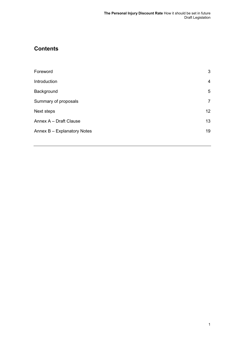## **Contents**

| Foreword                    | $\mathfrak{B}$ |
|-----------------------------|----------------|
| Introduction                | $\overline{4}$ |
| Background                  | 5              |
| Summary of proposals        | $\overline{7}$ |
| Next steps                  | 12             |
| Annex A - Draft Clause      | 13             |
| Annex B - Explanatory Notes | 19             |
|                             |                |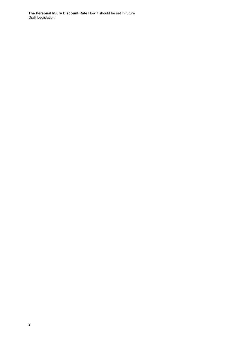**The Personal Injury Discount Rate** How it should be set in future Draft Legislation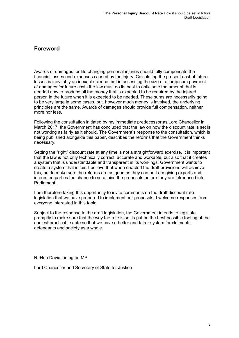## **Foreword**

Awards of damages for life changing personal injuries should fully compensate the financial losses and expenses caused by the injury. Calculating the present cost of future losses is inevitably an inexact science, but in assessing the size of a lump sum payment of damages for future costs the law must do its best to anticipate the amount that is needed now to produce all the money that is expected to be required by the injured person in the future when it is expected to be needed. These sums are necessarily going to be very large in some cases, but, however much money is involved, the underlying principles are the same. Awards of damages should provide full compensation, neither more nor less.

Following the consultation initiated by my immediate predecessor as Lord Chancellor in March 2017, the Government has concluded that the law on how the discount rate is set is not working as fairly as it should. The Government's response to the consultation, which is being published alongside this paper, describes the reforms that the Government thinks necessary.

Setting the "right" discount rate at any time is not a straightforward exercise. It is important that the law is not only technically correct, accurate and workable, but also that it creates a system that is understandable and transparent in its workings. Government wants to create a system that is fair. I believe that when enacted the draft provisions will achieve this, but to make sure the reforms are as good as they can be I am giving experts and interested parties the chance to scrutinise the proposals before they are introduced into Parliament.

I am therefore taking this opportunity to invite comments on the draft discount rate legislation that we have prepared to implement our proposals. I welcome responses from everyone interested in this topic.

Subject to the response to the draft legislation, the Government intends to legislate promptly to make sure that the way the rate is set is put on the best possible footing at the earliest practicable date so that we have a better and fairer system for claimants, defendants and society as a whole.

Rt Hon David Lidington MP

Lord Chancellor and Secretary of State for Justice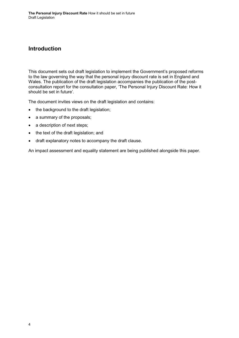## **Introduction**

This document sets out draft legislation to implement the Government's proposed reforms to the law governing the way that the personal injury discount rate is set in England and Wales. The publication of the draft legislation accompanies the publication of the postconsultation report for the consultation paper, 'The Personal Injury Discount Rate: How it should be set in future'.

The document invites views on the draft legislation and contains:

- the background to the draft legislation;
- a summary of the proposals;
- a description of next steps;
- the text of the draft legislation; and
- draft explanatory notes to accompany the draft clause.

An impact assessment and equality statement are being published alongside this paper.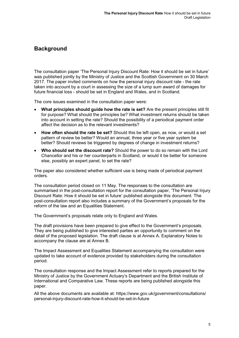## **Background**

The consultation paper 'The Personal Injury Discount Rate: How it should be set in future' was published jointly by the Ministry of Justice and the Scottish Government on 30 March 2017. The paper invited comments on how the personal injury discount rate - the rate taken into account by a court in assessing the size of a lump sum award of damages for future financial loss - should be set in England and Wales, and in Scotland.

The core issues examined in the consultation paper were:

- **What principles should guide how the rate is set?** Are the present principles still fit for purpose? What should the principles be? What investment returns should be taken into account in setting the rate? Should the possibility of a periodical payment order affect the decision as to the relevant investments?
- **How often should the rate be set?** Should this be left open, as now, or would a set pattern of review be better? Would an annual, three year or five year system be better? Should reviews be triggered by degrees of change in investment returns?
- **Who should set the discount rate?** Should the power to do so remain with the Lord Chancellor and his or her counterparts in Scotland, or would it be better for someone else, possibly an expert panel, to set the rate?

The paper also considered whether sufficient use is being made of periodical payment orders.

The consultation period closed on 11 May. The responses to the consultation are summarised in the post-consultation report for the consultation paper, 'The Personal Injury Discount Rate: How it should be set in future' published alongside this document. The post-consultation report also includes a summary of the Government's proposals for the reform of the law and an Equalities Statement.

The Government's proposals relate only to England and Wales.

The draft provisions have been prepared to give effect to the Government's proposals. They are being published to give interested parties an opportunity to comment on the detail of the proposed legislation. The draft clause is at Annex A. Explanatory Notes to accompany the clause are at Annex B.

The Impact Assessment and Equalities Statement accompanying the consultation were updated to take account of evidence provided by stakeholders during the consultation period.

The consultation response and the Impact Assessment refer to reports prepared for the Ministry of Justice by the Government Actuary's Department and the British Institute of International and Comparative Law. These reports are being published alongside this paper.

All the above documents are available at: [https://www.gov.uk/government/consultations/](https://www.gov.uk/government/consultations/personal-injury-discount-rate-how-it-should-be-set-in-future) [personal-injury-discount-rate-how-it-should-be-set-in-future](https://www.gov.uk/government/consultations/personal-injury-discount-rate-how-it-should-be-set-in-future)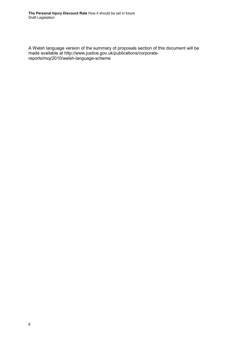A Welsh language version of the summary of proposals section of this document will be made available at [http://www.justice.gov.uk/publications/corporate](http://www.justice.gov.uk/publications/corporate-reports/moj/2010/welsh-language-scheme)[reports/moj/2010/welsh-language-scheme](http://www.justice.gov.uk/publications/corporate-reports/moj/2010/welsh-language-scheme)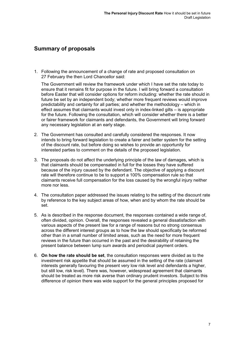## **Summary of proposals**

1. Following the announcement of a change of rate and proposed consultation on 27 February the then Lord Chancellor said:

The Government will review the framework under which I have set the rate today to ensure that it remains fit for purpose in the future. I will bring forward a consultation before Easter that will consider options for reform including: whether the rate should in future be set by an independent body; whether more frequent reviews would improve predictability and certainty for all parties; and whether the methodology – which in effect assumes that claimants would invest only in index-linked gilts – is appropriate for the future. Following the consultation, which will consider whether there is a better or fairer framework for claimants and defendants, the Government will bring forward any necessary legislation at an early stage.

- 2. The Government has consulted and carefully considered the responses. It now intends to bring forward legislation to create a fairer and better system for the setting of the discount rate, but before doing so wishes to provide an opportunity for interested parties to comment on the details of the proposed legislation.
- 3. The proposals do not affect the underlying principle of the law of damages, which is that claimants should be compensated in full for the losses they have suffered because of the injury caused by the defendant. The objective of applying a discount rate will therefore continue to be to support a 100% compensation rule so that claimants receive full compensation for the loss caused by the wrongful injury neither more nor less.
- 4. The consultation paper addressed the issues relating to the setting of the discount rate by reference to the key subject areas of how, when and by whom the rate should be set.
- 5. As is described in the response document, the responses contained a wide range of, often divided, opinion. Overall, the responses revealed a general dissatisfaction with various aspects of the present law for a range of reasons but no strong consensus across the different interest groups as to how the law should specifically be reformed other than in a small number of limited areas, such as the need for more frequent reviews in the future than occurred in the past and the desirability of retaining the present balance between lump sum awards and periodical payment orders.
- 6. **On how the rate should be set**, the consultation responses were divided as to the investment risk appetite that should be assumed in the setting of the rate (claimant interests generally favouring the present very low risk level and defendants a higher, but still low, risk level). There was, however, widespread agreement that claimants should be treated as more risk averse than ordinary prudent investors. Subject to this difference of opinion there was wide support for the general principles proposed for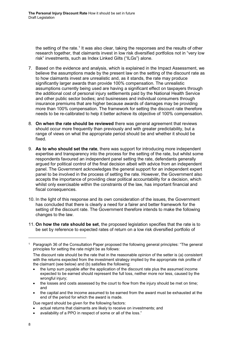the setting of the rate.<sup>[1](#page-10-0)</sup> It was also clear, taking the responses and the results of other research together, that claimants invest in low risk diversified portfolios not in "very low risk" investments, such as Index Linked Gilts ("ILGs") alone.

- 7. Based on the evidence and analysis, which is explained in the Impact Assessment, we believe the assumptions made by the present law on the setting of the discount rate as to how claimants invest are unrealistic and, as it stands, the rate may produce significantly larger awards than provide 100% compensation. The unrealistic assumptions currently being used are having a significant effect on taxpayers through the additional cost of personal injury settlements paid by the National Health Service and other public sector bodies; and businesses and individual consumers through insurance premiums that are higher because awards of damages may be providing more than 100% compensation. The framework for setting the discount rate therefore needs to be re-calibrated to help it better achieve its objective of 100% compensation.
- 8. **On when the rate should be reviewed** there was general agreement that reviews should occur more frequently than previously and with greater predictability, but a range of views on what the appropriate period should be and whether it should be fixed.
- 9. **As to who should set the rate**, there was support for introducing more independent expertise and transparency into the process for the setting of the rate, but whilst some respondents favoured an independent panel setting the rate, defendants generally argued for political control of the final decision albeit with advice from an independent panel. The Government acknowledges the general support for an independent expert panel to be involved in the process of setting the rate. However, the Government also accepts the importance of providing clear political accountability for a decision, which whilst only exercisable within the constraints of the law, has important financial and fiscal consequences.
- 10. In the light of this response and its own consideration of the issues, the Government has concluded that there is clearly a need for a fairer and better framework for the setting of the discount rate. The Government therefore intends to make the following changes to the law.
- 11. **On how the rate should be set**, the proposed legislation specifies that the rate is to be set by reference to expected rates of return on a low risk diversified portfolio of

- the lump sum payable after the application of the discount rate plus the assumed income expected to be earned should represent the full loss, neither more nor less, caused by the wrongful injury;
- the losses and costs assessed by the court to flow from the injury should be met on time; and
- the capital and the income assumed to be earned from the award must be exhausted at the end of the period for which the award is made.

Due regard should be given for the following factors:

- actual returns that claimants are likely to receive on investments; and
- availability of a PPO in respect of some or all of the loss."

-

<span id="page-10-0"></span><sup>&</sup>lt;sup>1</sup> Paragraph 36 of the Consultation Paper proposed the following general principles: "The general principles for setting the rate might be as follows:

The discount rate should be the rate that in the reasonable opinion of the setter is (a) consistent with the returns expected from the investment strategy implied by the appropriate risk profile of the claimant (see below) and (b) satisfies the following: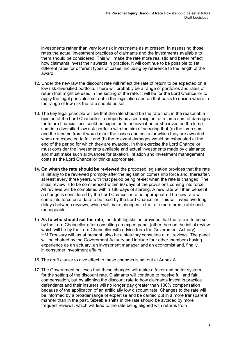investments rather than very low risk investments as at present. In assessing those rates the actual investment practices of claimants and the investments available to them should be considered. This will make the rate more realistic and better reflect how claimants invest their awards in practice. It will continue to be possible to set different rates for different types of cases, including by reference to the length of the award.

- 12. Under the new law the discount rate will reflect the rate of return to be expected on a low risk diversified portfolio. There will probably be a range of portfolios and rates of return that might be used in the setting of the rate. It will be for the Lord Chancellor to apply the legal principles set out in the legislation and on that basis to decide where in the range of low risk the rate should be set.
- 13. The key legal principle will be that the rate should be the rate that, in the reasonable opinion of the Lord Chancellor, a properly advised recipient of a lump sum of damages for future financial loss could be expected to achieve if he or she invested the lump sum in a diversified low risk portfolio with the aim of securing that (a) the lump sum and the income from it would meet the losses and costs for which they are awarded when are expected to fall; and (b) the relevant damages would be exhausted at the end of the period for which they are awarded. In this exercise the Lord Chancellor must consider the investments available and actual investments made by claimants; and must make such allowances for taxation, inflation and investment management costs as the Lord Chancellor thinks appropriate.
- 14. **On when the rate should be reviewed** the proposed legislation provides that the rate is initially to be reviewed promptly after the legislation comes into force and, thereafter, at least every three years, with that period being re-set when the rate is changed. The initial review is to be commenced within 90 days of the provisions coming into force. All reviews will be completed within 180 days of starting. A new rate will then be set if a change is considered by the Lord Chancellor to be appropriate. The new rate will come into force on a date to be fixed by the Lord Chancellor. This will avoid overlong delays between reviews, which will make changes in the rate more predictable and manageable.
- 15. **As to who should set the rate**, the draft legislation provides that the rate is to be set by the Lord Chancellor after consulting an expert panel (other than on the initial review which will be by the Lord Chancellor with advice from the Government Actuary). HM Treasury will, as at present, also be a statutory consultee at all reviews. The panel will be chaired by the Government Actuary and include four other members having experience as an actuary, an investment manager and an economist and, finally, in consumer investment affairs.
- 16. The draft clause to give effect to these changes is set out at Annex A.
- 17. The Government believes that these changes will make a fairer and better system for the setting of the discount rate. Claimants will continue to receive full and fair compensation, but by aligning the discount rate to how claimants invest in practice defendants and their insurers will no longer pay greater than 100% compensation because of the application of an artificially low discount rate. Changes to the rate will be informed by a broader range of expertise and be carried out in a more transparent manner than in the past. Sizeable shifts in the rate should be avoided by more frequent reviews, which will lead to the rate being aligned with returns from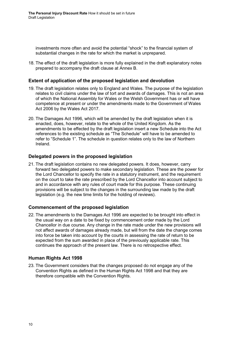investments more often and avoid the potential "shock" to the financial system of substantial changes in the rate for which the market is unprepared.

18. The effect of the draft legislation is more fully explained in the draft explanatory notes prepared to accompany the draft clause at Annex B.

#### **Extent of application of the proposed legislation and devolution**

- 19. The draft legislation relates only to England and Wales. The purpose of the legislation relates to civil claims under the law of tort and awards of damages. This is not an area of which the National Assembly for Wales or the Welsh Government has or will have competence at present or under the amendments made to the Government of Wales Act 2006 by the Wales Act 2017.
- 20. The Damages Act 1996, which will be amended by the draft legislation when it is enacted, does, however, relate to the whole of the United Kingdom. As the amendments to be effected by the draft legislation insert a new Schedule into the Act references to the existing schedule as "The Schedule" will have to be amended to refer to "Schedule 1". The schedule in question relates only to the law of Northern Ireland.

#### **Delegated powers in the proposed legislation**

21. The draft legislation contains no new delegated powers. It does, however, carry forward two delegated powers to make secondary legislation. These are the power for the Lord Chancellor to specify the rate in a statutory instrument, and the requirement on the court to take the rate prescribed by the Lord Chancellor into account subject to and in accordance with any rules of court made for this purpose. These continuing provisions will be subject to the changes in the surrounding law made by the draft legislation (e.g. the new time limits for the holding of reviews).

#### **Commencement of the proposed legislation**

22. The amendments to the Damages Act 1996 are expected to be brought into effect in the usual way on a date to be fixed by commencement order made by the Lord Chancellor in due course. Any change in the rate made under the new provisions will not affect awards of damages already made, but will from the date the change comes into force be taken into account by the courts in assessing the rate of return to be expected from the sum awarded in place of the previously applicable rate. This continues the approach of the present law. There is no retrospective effect.

#### **Human Rights Act 1998**

23. The Government considers that the changes proposed do not engage any of the Convention Rights as defined in the Human Rights Act 1998 and that they are therefore compatible with the Convention Rights.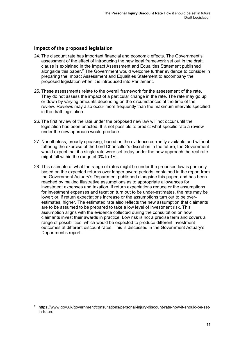#### **Impact of the proposed legislation**

-

- 24. The discount rate has important financial and economic effects. The Government's assessment of the effect of introducing the new legal framework set out in the draft clause is explained in the Impact Assessment and Equalities Statement published alongside this paper.<sup>[2](#page-13-0)</sup> The Government would welcome further evidence to consider in preparing the Impact Assessment and Equalities Statement to accompany the proposed legislation when it is introduced into Parliament.
- 25. These assessments relate to the overall framework for the assessment of the rate. They do not assess the impact of a particular change in the rate. The rate may go up or down by varying amounts depending on the circumstances at the time of the review. Reviews may also occur more frequently than the maximum intervals specified in the draft legislation.
- 26. The first review of the rate under the proposed new law will not occur until the legislation has been enacted. It is not possible to predict what specific rate a review under the new approach would produce.
- 27. Nonetheless, broadly speaking, based on the evidence currently available and without fettering the exercise of the Lord Chancellor's discretion in the future, the Government would expect that if a single rate were set today under the new approach the real rate might fall within the range of 0% to 1%.
- 28. This estimate of what the range of rates might be under the proposed law is primarily based on the expected returns over longer award periods, contained in the report from the Government Actuary's Department published alongside this paper, and has been reached by making illustrative assumptions as to appropriate allowances for investment expenses and taxation. If return expectations reduce or the assumptions for investment expenses and taxation turn out to be under-estimates, the rate may be lower; or, if return expectations increase or the assumptions turn out to be overestimates, higher. The estimated rate also reflects the new assumption that claimants are to be assumed to be prepared to take a low level of investment risk. This assumption aligns with the evidence collected during the consultation on how claimants invest their awards in practice. Low risk is not a precise term and covers a range of possibilities, which would be expected to produce different investment outcomes at different discount rates. This is discussed in the Government Actuary's Department's report.

<span id="page-13-0"></span><sup>2</sup> [https://www.gov.uk/government/consultations/personal-injury-discount-rate-how-it-should-be-set](https://www.gov.uk/government/consultations/personal-injury-discount-rate-how-it-should-be-set-in-future)[in-future](https://www.gov.uk/government/consultations/personal-injury-discount-rate-how-it-should-be-set-in-future)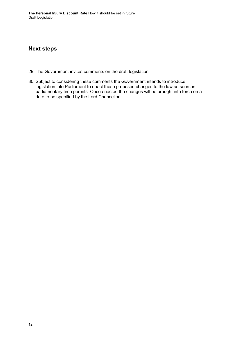## **Next steps**

- 29. The Government invites comments on the draft legislation.
- 30. Subject to considering these comments the Government intends to introduce legislation into Parliament to enact these proposed changes to the law as soon as parliamentary time permits. Once enacted the changes will be brought into force on a date to be specified by the Lord Chancellor.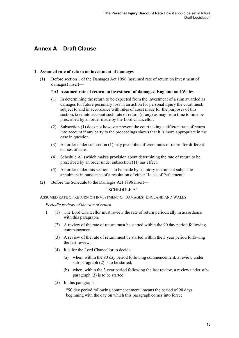## **Annex A – Draft Clause**

#### **1 Assumed rate of return on investment of damages**

(1) Before section 1 of the Damages Act 1996 (assumed rate of return on investment of damages) insert—

#### **"A1 Assumed rate of return on investment of damages: England and Wales**

- (1) In determining the return to be expected from the investment of a sum awarded as damages for future pecuniary loss in an action for personal injury the court must, subject to and in accordance with rules of court made for the purposes of this section, take into account such rate of return (if any) as may from time to time be prescribed by an order made by the Lord Chancellor.
- (2) Subsection (1) does not however prevent the court taking a different rate of return into account if any party to the proceedings shows that it is more appropriate in the case in question.
- (3) An order under subsection (1) may prescribe different rates of return for different classes of case.
- (4) Schedule A1 (which makes provision about determining the rate of return to be prescribed by an order under subsection (1)) has effect.
- (5) An order under this section is to be made by statutory instrument subject to annulment in pursuance of a resolution of either House of Parliament."
- (2) Before the Schedule to the Damages Act 1996 insert—

#### "SCHEDULE A1

ASSUMED RATE OF RETURN ON INVESTMENT OF DAMAGES: ENGLAND AND WALES

*Periodic reviews of the rate of return*

- 1 (1) The Lord Chancellor must review the rate of return periodically in accordance with this paragraph.
	- (2) A review of the rate of return must be started within the 90 day period following commencement.
	- (3) A review of the rate of return must be started within the 3 year period following the last review.
	- (4) It is for the Lord Chancellor to decide—
		- (a) when, within the 90 day period following commencement, a review under sub-paragraph (2) is to be started;
		- (b) when, within the 3 year period following the last review, a review under subparagraph (3) is to be started.
	- (5) In this paragraph—

"90 day period following commencement" means the period of 90 days beginning with the day on which this paragraph comes into force;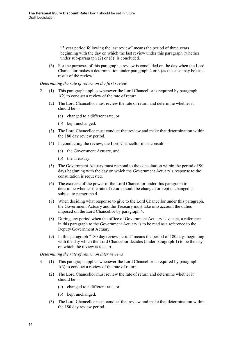"3 year period following the last review" means the period of three years beginning with the day on which the last review under this paragraph (whether under sub-paragraph  $(2)$  or  $(3)$ ) is concluded.

(6) For the purposes of this paragraph a review is concluded on the day when the Lord Chancellor makes a determination under paragraph 2 or 3 (as the case may be) as a result of the review.

#### *Determining the rate of return on the first review*

- 2 (1) This paragraph applies whenever the Lord Chancellor is required by paragraph 1(2) to conduct a review of the rate of return.
	- (2) The Lord Chancellor must review the rate of return and determine whether it should be—
		- (a) changed to a different rate, or
		- (b) kept unchanged.
	- (3) The Lord Chancellor must conduct that review and make that determination within the 180 day review period.
	- (4) In conducting the review, the Lord Chancellor must consult—
		- (a) the Government Actuary, and
		- (b) the Treasury.
	- (5) The Government Actuary must respond to the consultation within the period of 90 days beginning with the day on which the Government Actuary's response to the consultation is requested.
	- (6) The exercise of the power of the Lord Chancellor under this paragraph to determine whether the rate of return should be changed or kept unchanged is subject to paragraph 4.
	- (7) When deciding what response to give to the Lord Chancellor under this paragraph, the Government Actuary and the Treasury must take into account the duties imposed on the Lord Chancellor by paragraph 4.
	- (8) During any period when the office of Government Actuary is vacant, a reference in this paragraph to the Government Actuary is to be read as a reference to the Deputy Government Actuary.
	- (9) In this paragraph "180 day review period" means the period of 180 days beginning with the day which the Lord Chancellor decides (under paragraph 1) to be the day on which the review is to start.

#### *Determining the rate of return on later reviews*

- 3 (1) This paragraph applies whenever the Lord Chancellor is required by paragraph 1(3) to conduct a review of the rate of return.
	- (2) The Lord Chancellor must review the rate of return and determine whether it should be—
		- (a) changed to a different rate, or
		- (b) kept unchanged.
	- (3) The Lord Chancellor must conduct that review and make that determination within the 180 day review period.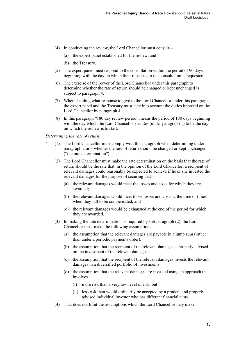- (4) In conducting the review, the Lord Chancellor must consult—
	- (a) the expert panel established for the review, and
	- (b) the Treasury.
- (5) The expert panel must respond to the consultation within the period of 90 days beginning with the day on which their response to the consultation is requested.
- (6) The exercise of the power of the Lord Chancellor under this paragraph to determine whether the rate of return should be changed or kept unchanged is subject to paragraph 4.
- (7) When deciding what response to give to the Lord Chancellor under this paragraph, the expert panel and the Treasury must take into account the duties imposed on the Lord Chancellor by paragraph 4.
- (8) In this paragraph "180 day review period" means the period of 180 days beginning with the day which the Lord Chancellor decides (under paragraph 1) to be the day on which the review is to start.

*Determining the rate of return*

- 4 (1) The Lord Chancellor must comply with this paragraph when determining under paragraph 2 or 3 whether the rate of return should be changed or kept unchanged ("the rate determination").
	- (2) The Lord Chancellor must make the rate determination on the basis that the rate of return should be the rate that, in the opinion of the Lord Chancellor, a recipient of relevant damages could reasonably be expected to achieve if he or she invested the relevant damages for the purpose of securing that—
		- (a) the relevant damages would meet the losses and costs for which they are awarded;
		- (b) the relevant damages would meet those losses and costs at the time or times when they fall to be compensated; and
		- (c) the relevant damages would be exhausted at the end of the period for which they are awarded.
	- (3) In making the rate determination as required by sub-paragraph (2), the Lord Chancellor must make the following assumptions—
		- (a) the assumption that the relevant damages are payable in a lump sum (rather than under a periodic payments order);
		- (b) the assumption that the recipient of the relevant damages is properly advised on the investment of the relevant damages;
		- (c) the assumption that the recipient of the relevant damages invests the relevant damages in a diversified portfolio of investments;
		- (d) the assumption that the relevant damages are invested using an approach that involves—
			- (i) more risk than a very low level of risk, but
			- (ii) less risk than would ordinarily be accepted by a prudent and properly advised individual investor who has different financial aims.
	- (4) That does not limit the assumptions which the Lord Chancellor may make.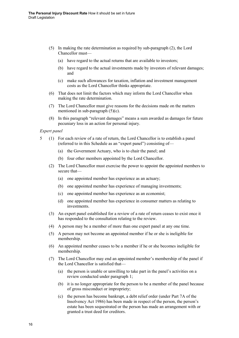- (5) In making the rate determination as required by sub-paragraph (2), the Lord Chancellor must—
	- (a) have regard to the actual returns that are available to investors;
	- (b) have regard to the actual investments made by investors of relevant damages; and
	- (c) make such allowances for taxation, inflation and investment management costs as the Lord Chancellor thinks appropriate.
- (6) That does not limit the factors which may inform the Lord Chancellor when making the rate determination.
- (7) The Lord Chancellor must give reasons for the decisions made on the matters mentioned in sub-paragraph (5)(c).
- (8) In this paragraph "relevant damages" means a sum awarded as damages for future pecuniary loss in an action for personal injury.

#### *Expert panel*

- 5 (1) For each review of a rate of return, the Lord Chancellor is to establish a panel (referred to in this Schedule as an "expert panel") consisting of—
	- (a) the Government Actuary, who is to chair the panel; and
	- (b) four other members appointed by the Lord Chancellor.
	- (2) The Lord Chancellor must exercise the power to appoint the appointed members to secure that—
		- (a) one appointed member has experience as an actuary;
		- (b) one appointed member has experience of managing investments;
		- (c) one appointed member has experience as an economist;
		- (d) one appointed member has experience in consumer matters as relating to investments.
	- (3) An expert panel established for a review of a rate of return ceases to exist once it has responded to the consultation relating to the review.
	- (4) A person may be a member of more than one expert panel at any one time.
	- (5) A person may not become an appointed member if he or she is ineligible for membership.
	- (6) An appointed member ceases to be a member if he or she becomes ineligible for membership.
	- (7) The Lord Chancellor may end an appointed member's membership of the panel if the Lord Chancellor is satisfied that—
		- (a) the person is unable or unwilling to take part in the panel's activities on a review conducted under paragraph 1;
		- (b) it is no longer appropriate for the person to be a member of the panel because of gross misconduct or impropriety;
		- (c) the person has become bankrupt, a debt relief order (under Part 7A of the Insolvency Act 1986) has been made in respect of the person, the person's estate has been sequestrated or the person has made an arrangement with or granted a trust deed for creditors.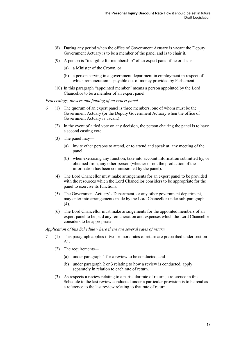- (8) During any period when the office of Government Actuary is vacant the Deputy Government Actuary is to be a member of the panel and is to chair it.
- (9) A person is "ineligible for membership" of an expert panel if he or she is—
	- (a) a Minister of the Crown, or
	- (b) a person serving in a government department in employment in respect of which remuneration is payable out of money provided by Parliament.
- (10) In this paragraph "appointed member" means a person appointed by the Lord Chancellor to be a member of an expert panel.

*Proceedings, powers and funding of an expert panel*

- 6 (1) The quorum of an expert panel is three members, one of whom must be the Government Actuary (or the Deputy Government Actuary when the office of Government Actuary is vacant).
	- (2) In the event of a tied vote on any decision, the person chairing the panel is to have a second casting vote.
	- (3) The panel may—
		- (a) invite other persons to attend, or to attend and speak at, any meeting of the panel;
		- (b) when exercising any function, take into account information submitted by, or obtained from, any other person (whether or not the production of the information has been commissioned by the panel).
	- (4) The Lord Chancellor must make arrangements for an expert panel to be provided with the resources which the Lord Chancellor considers to be appropriate for the panel to exercise its functions.
	- (5) The Government Actuary's Department, or any other government department, may enter into arrangements made by the Lord Chancellor under sub-paragraph (4).
	- (6) The Lord Chancellor must make arrangements for the appointed members of an expert panel to be paid any remuneration and expenses which the Lord Chancellor considers to be appropriate.

*Application of this Schedule where there are several rates of return*

- 7 (1) This paragraph applies if two or more rates of return are prescribed under section A1.
	- (2) The requirements—
		- (a) under paragraph 1 for a review to be conducted, and
		- (b) under paragraph 2 or 3 relating to how a review is conducted, apply separately in relation to each rate of return.
	- (3) As respects a review relating to a particular rate of return, a reference in this Schedule to the last review conducted under a particular provision is to be read as a reference to the last review relating to that rate of return.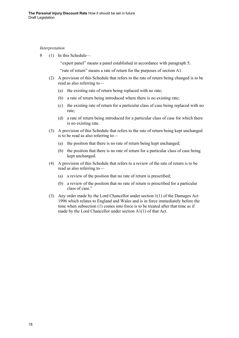#### *Interpretation*

8 (1) In this Schedule—

"expert panel" means a panel established in accordance with paragraph 5;

"rate of return" means a rate of return for the purposes of section A1.

- (2) A provision of this Schedule that refers to the rate of return being changed is to be read as also referring to—
	- (a) the existing rate of return being replaced with no rate;
	- (b) a rate of return being introduced where there is no existing rate;
	- (c) the existing rate of return for a particular class of case being replaced with no rate;
	- (d) a rate of return being introduced for a particular class of case for which there is no existing rate.
- (3) A provision of this Schedule that refers to the rate of return being kept unchanged is to be read as also referring to—
	- (a) the position that there is no rate of return being kept unchanged;
	- (b) the position that there is no rate of return for a particular class of case being kept unchanged.
- (4) A provision of this Schedule that refers to a review of the rate of return is to be read as also referring to—
	- (a) a review of the position that no rate of return is prescribed;
	- (b) a review of the position that no rate of return is prescribed for a particular class of case."
- (3) Any order made by the Lord Chancellor under section 1(1) of the Damages Act 1996 which relates to England and Wales and is in force immediately before the time when subsection (1) comes into force is to be treated after that time as if made by the Lord Chancellor under section A1(1) of that Act.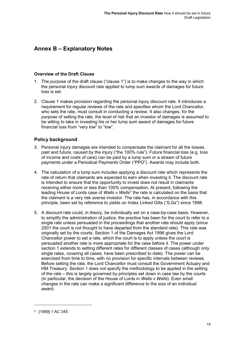## **Annex B – Explanatory Notes**

#### **Overview of the Draft Clause**

- 1. The purpose of the draft clause ("clause 1") is to make changes to the way in which the personal injury discount rate applied to lump sum awards of damages for future loss is set.
- 2. Clause 1 makes provision regarding the personal injury discount rate. It introduces a requirement for regular reviews of the rate and specifies whom the Lord Chancellor, who sets the rate, must consult in conducting a review. It also changes, for the purpose of setting the rate, the level of risk that an investor of damages is assumed to be willing to take in investing his or her lump sum award of damages for future financial loss from "very low" to "low".

## **Policy background**

- 3. Personal injury damages are intended to compensate the claimant for all the losses, past and future, caused by the injury ("the 100% rule"). Future financial loss (e.g. loss of income and costs of care) can be paid by a lump sum or a stream of future payments under a Periodical Payments Order ("PPO"). Awards may include both.
- 4. The calculation of a lump sum includes applying a discount rate which represents the rate of return that claimants are expected to earn when investing it. The discount rate is intended to ensure that the opportunity to invest does not result in claimants receiving either more or less than 100% compensation. At present, following the leading House of Lords case of Wells v Wells<sup>[3](#page-21-0)</sup> the rate is calculated on the basis that the claimant is a very risk averse investor. The rate has, in accordance with this principle, been set by reference to yields on Index Linked Gilts ("ILGs") since 1998.
- 5. A discount rate could, in theory, be individually set on a case-by-case basis. However, to simplify the administration of justice, the practice has been for the court to refer to a single rate unless persuaded in the proceedings that another rate should apply (since 2001 the court is not thought to have departed from the standard rate). This rate was originally set by the courts. Section 1 of the Damages Act 1996 gives the Lord Chancellor power to set a rate, which the court is to apply unless the court is persuaded another rate is more appropriate for the case before it. The power under section 1 extends to setting different rates for different classes of cases (although only single rates, covering all cases, have been prescribed to date). The power can be exercised from time to time, with no provision for specific intervals between reviews. Before setting the rate, the Lord Chancellor must consult the Government Actuary and HM Treasury. Section 1 does not specify the methodology to be applied in the setting of the rate – this is largely governed by principles set down in case law by the courts (in particular, the decision of the House of Lords in *Wells v Wells*). Even small changes in the rate can make a significant difference to the size of an individual award.

 $\overline{a}$ 

<span id="page-21-0"></span><sup>3</sup> [1999] 1 AC 345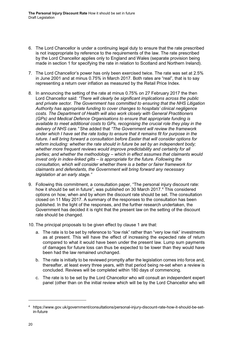- 6. The Lord Chancellor is under a continuing legal duty to ensure that the rate prescribed is not inappropriate by reference to the requirements of the law. The rate prescribed by the Lord Chancellor applies only to England and Wales (separate provision being made in section 1 for specifying the rate in relation to Scotland and Northern Ireland).
- 7. The Lord Chancellor's power has only been exercised twice. The rate was set at 2.5% in June 2001 and at minus 0.75% in March 2017. Both rates are "real", that is to say representing a return over inflation as measured by the Retail Price Index.
- 8. In announcing the setting of the rate at minus 0.75% on 27 February 2017 the then Lord Chancellor said: *"There will clearly be significant implications across the public and private sector. The Government has committed to ensuring that the NHS Litigation Authority has appropriate funding to cover changes to hospitals' clinical negligence costs. The Department of Health will also work closely with General Practitioners (GPs) and Medical Defence Organisations to ensure that appropriate funding is available to meet additional costs to GPs, recognising the crucial role they play in the delivery of NHS care."* She added that *"The Government will review the framework under which I have set the rate today to ensure that it remains fit for purpose in the future. I will bring forward a consultation before Easter that will consider options for reform including: whether the rate should in future be set by an independent body;*  whether more frequent reviews would improve predictability and certainty for all *parties; and whether the methodology – which in effect assumes that claimants would invest only in index-linked gilts – is appropriate for the future. Following the consultation, which will consider whether there is a better or fairer framework for claimants and defendants, the Government will bring forward any necessary legislation at an early stage."*
- 9. Following this commitment, a consultation paper, "The personal injury discount rate: how it should be set in future", was published on 30 March 2017. [4](#page-22-0) This considered options on how, when and by whom the discount rate should be set. The consultation closed on 11 May 2017. A summary of the responses to the consultation has been published. In the light of the responses, and the further research undertaken, the Government has decided it is right that the present law on the setting of the discount rate should be changed.
- 10. The principal proposals to be given effect by clause 1 are that:
	- a. The rate is to be set by reference to "low risk" rather than "very low risk" investments as at present. This will have the effect of increasing the expected rate of return compared to what it would have been under the present law. Lump sum payments of damages for future loss can thus be expected to be lower than they would have been had the law remained unchanged.
	- b. The rate is initially to be reviewed promptly after the legislation comes into force and, thereafter, at least every three years, with that period being re-set when a review is concluded. Reviews will be completed within 180 days of commencing.
	- c. The rate is to be set by the Lord Chancellor who will consult an independent expert panel (other than on the initial review which will be by the Lord Chancellor who will

-

<span id="page-22-0"></span><sup>4</sup> [https://www.gov.uk/government/consultations/personal-injury-discount-rate-how-it-should-be-set](https://www.gov.uk/government/consultations/personal-injury-discount-rate-how-it-should-be-set-in-future)[in-future](https://www.gov.uk/government/consultations/personal-injury-discount-rate-how-it-should-be-set-in-future)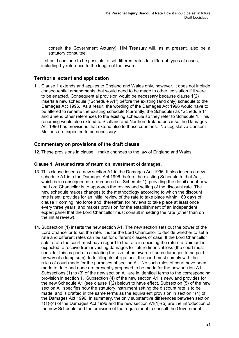consult the Government Actuary). HM Treasury will, as at present, also be a statutory consultee.

It should continue to be possible to set different rates for different types of cases, including by reference to the length of the award.

#### **Territorial extent and application**

11. Clause 1 extends and applies to England and Wales only, however, it does not include consequential amendments that would need to be made to other legislation if it were to be enacted. Consequential provision would be necessary because clause 1(2) inserts a new schedule ("Schedule A1") before the existing (and only) schedule to the Damages Act 1996. As a result, the wording of the Damages Act 1996 would have to be altered to rename the existing schedule (currently, the Schedule) as "Schedule 1" and amend other references to the existing schedule so they refer to Schedule 1. This renaming would also extend to Scotland and Northern Ireland because the Damages Act 1996 has provisions that extend also to those countries. No Legislative Consent Motions are expected to be necessary.

#### **Commentary on provisions of the draft clause**

12. These provisions in clause 1 make changes to the law of England and Wales.

#### **Clause 1: Assumed rate of return on investment of damages.**

- 13. This clause inserts a new section A1 in the Damages Act 1996. It also inserts a new schedule A1 into the Damages Act 1996 (before the existing Schedule to that Act, which is in consequence re-numbered as Schedule 1), providing the detail about how the Lord Chancellor is to approach the review and setting of the discount rate. The new schedule makes changes to the methodology according to which the discount rate is set; provides for an initial review of the rate to take place within 180 days of clause 1 coming into force and, thereafter, for reviews to take place at least once every three years; and makes provision for the establishment of an independent expert panel that the Lord Chancellor must consult in setting the rate (other than on the initial review).
- 14. Subsection (1) inserts the new section A1. The new section sets out the power of the Lord Chancellor to set the rate. It is for the Lord Chancellor to decide whether to set a rate and different rates can be set for different classes of case. If the Lord Chancellor sets a rate the court must have regard to the rate in deciding the return a claimant is expected to receive from investing damages for future financial loss (the court must consider this as part of calculating the size of an award of such damages to be paid by way of a lump sum). In fulfilling its obligations, the court must comply with the rules of court made for the purposes of section A1. No such rules of court have been made to date and none are presently proposed to be made for the new section A1. Subsections (1) to (3) of the new section A1 are in identical terms to the corresponding provision in section 1. Subsection (4) of the new section A1 is new, and provides for the new Schedule A1 (see clause 1(2) below) to have effect. Subsection (5) of the new section A1 specifies how the statutory instrument setting the discount rate is to be made, and is drafted in the same terms as the equivalent provision in section 1(4) of the Damages Act 1996. In summary, the only substantive differences between section 1(1)-(4) of the Damages Act 1996 and the new section A1(1)-(5) are the introduction of the new Schedule and the omission of the requirement to consult the Government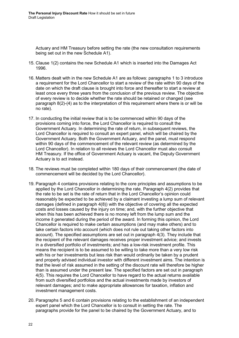Actuary and HM Treasury before setting the rate (the new consultation requirements being set out in the new Schedule A1).

- 15. Clause 1(2) contains the new Schedule A1 which is inserted into the Damages Act 1996.
- 16. Matters dealt with in the new Schedule A1 are as follows: paragraphs 1 to 3 introduce a requirement for the Lord Chancellor to start a review of the rate within 90 days of the date on which the draft clause is brought into force and thereafter to start a review at least once every three years from the conclusion of the previous review. The objective of every review is to decide whether the rate should be retained or changed (see paragraph 8(2)-(4) as to the interpretation of this requirement where there is or will be no rate).
- 17. In conducting the initial review that is to be commenced within 90 days of the provisions coming into force, the Lord Chancellor is required to consult the Government Actuary. In determining the rate of return, in subsequent reviews, the Lord Chancellor is required to consult an expert panel, which will be chaired by the Government Actuary. Both the Government Actuary, and the panel, must respond within 90 days of the commencement of the relevant review (as determined by the Lord Chancellor). In relation to all reviews the Lord Chancellor must also consult HM Treasury. If the office of Government Actuary is vacant, the Deputy Government Actuary is to act instead.
- 18. The reviews must be completed within 180 days of their commencement (the date of commencement will be decided by the Lord Chancellor).
- 19. Paragraph 4 contains provisions relating to the core principles and assumptions to be applied by the Lord Chancellor in determining the rate. Paragraph 4(2) provides that the rate to be set is the rate of return that in the Lord Chancellor's opinion could reasonably be expected to be achieved by a claimant investing a lump sum of relevant damages (defined in paragraph 4(8)) with the objective of covering all the expected costs and losses caused by the injury on time; and, with the further objective that when this has been achieved there is no money left from the lump sum and the income it generated during the period of the award. In forming this opinion, the Lord Chancellor is required to make certain assumptions (and may make others) and to take certain factors into account (which does not rule out taking other factors into account). The specified assumptions are set out in paragraph 4(3). They include that the recipient of the relevant damages receives proper investment advice; and invests in a diversified portfolio of investments; and has a low-risk investment profile. This means the recipient is to be assumed to be willing to take more than a very low risk with his or her investments but less risk than would ordinarily be taken by a prudent and properly advised individual investor with different investment aims. The intention is that the level of risk assumed in the setting of the discount rate will therefore be higher than is assumed under the present law. The specified factors are set out in paragraph 4(5). This requires the Lord Chancellor to have regard to the actual returns available from such diversified portfolios and the actual investments made by investors of relevant damages; and to make appropriate allowances for taxation, inflation and investment management costs.
- 20. Paragraphs 5 and 6 contain provisions relating to the establishment of an independent expert panel which the Lord Chancellor is to consult in setting the rate. The paragraphs provide for the panel to be chaired by the Government Actuary, and to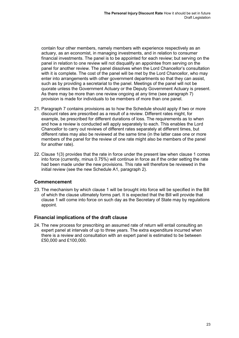contain four other members, namely members with experience respectively as an actuary, as an economist, in managing investments, and in relation to consumer financial investments. The panel is to be appointed for each review; but serving on the panel in relation to one review will not disqualify an appointee from serving on the panel for another review. The panel dissolves when the Lord Chancellor's consultation with it is complete. The cost of the panel will be met by the Lord Chancellor, who may enter into arrangements with other government departments so that they can assist, such as by providing a secretariat to the panel. Meetings of the panel will not be quorate unless the Government Actuary or the Deputy Government Actuary is present. As there may be more than one review ongoing at any time (see paragraph 7) provision is made for individuals to be members of more than one panel.

- 21. Paragraph 7 contains provisions as to how the Schedule should apply if two or more discount rates are prescribed as a result of a review. Different rates might, for example, be prescribed for different durations of loss. The requirements as to when and how a review is conducted will apply separately to each. This enables the Lord Chancellor to carry out reviews of different rates separately at different times, but different rates may also be reviewed at the same time (in the latter case one or more members of the panel for the review of one rate might also be members of the panel for another rate).
- 22. Clause 1(3) provides that the rate in force under the present law when clause 1 comes into force (currently, minus 0.75%) will continue in force as if the order setting the rate had been made under the new provisions. This rate will therefore be reviewed in the initial review (see the new Schedule A1, paragraph 2).

## **Commencement**

23. The mechanism by which clause 1 will be brought into force will be specified in the Bill of which the clause ultimately forms part. It is expected that the Bill will provide that clause 1 will come into force on such day as the Secretary of State may by regulations appoint.

## **Financial implications of the draft clause**

24. The new process for prescribing an assumed rate of return will entail consulting an expert panel at intervals of up to three years. The extra expenditure incurred when there is a review and consultation with an expert panel is estimated to be between £50,000 and £100,000.